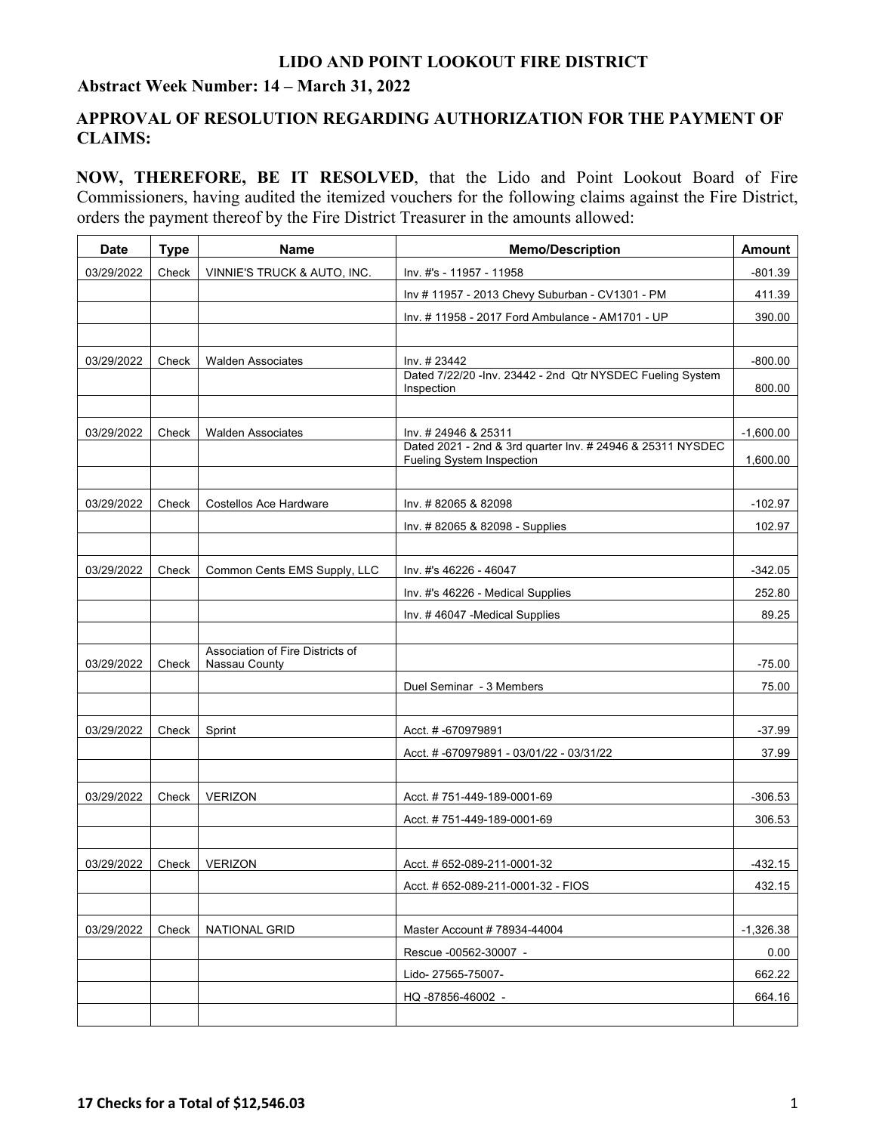## **LIDO AND POINT LOOKOUT FIRE DISTRICT**

### **Abstract Week Number: 14 – March 31, 2022**

## **APPROVAL OF RESOLUTION REGARDING AUTHORIZATION FOR THE PAYMENT OF CLAIMS:**

**NOW, THEREFORE, BE IT RESOLVED**, that the Lido and Point Lookout Board of Fire Commissioners, having audited the itemized vouchers for the following claims against the Fire District, orders the payment thereof by the Fire District Treasurer in the amounts allowed:

| <b>Date</b> | <b>Type</b> | <b>Name</b>                      | <b>Memo/Description</b><br><b>Amount</b>                                 |             |  |
|-------------|-------------|----------------------------------|--------------------------------------------------------------------------|-------------|--|
| 03/29/2022  | Check       | VINNIE'S TRUCK & AUTO, INC.      | Inv. #'s - 11957 - 11958                                                 | $-801.39$   |  |
|             |             |                                  | Inv # 11957 - 2013 Chevy Suburban - CV1301 - PM                          | 411.39      |  |
|             |             |                                  | Inv. #11958 - 2017 Ford Ambulance - AM1701 - UP                          | 390.00      |  |
|             |             |                                  |                                                                          |             |  |
| 03/29/2022  | Check       | <b>Walden Associates</b>         | Inv. # 23442                                                             | $-800.00$   |  |
|             |             |                                  | Dated 7/22/20 - Inv. 23442 - 2nd Qtr NYSDEC Fueling System<br>Inspection | 800.00      |  |
|             |             |                                  |                                                                          |             |  |
| 03/29/2022  | Check       | <b>Walden Associates</b>         | Inv. # 24946 & 25311                                                     | $-1,600.00$ |  |
|             |             |                                  | Dated 2021 - 2nd & 3rd quarter Inv. # 24946 & 25311 NYSDEC               |             |  |
|             |             |                                  | Fueling System Inspection                                                | 1,600.00    |  |
|             |             |                                  |                                                                          |             |  |
| 03/29/2022  | Check       | <b>Costellos Ace Hardware</b>    | Inv. #82065 & 82098                                                      | $-102.97$   |  |
|             |             |                                  | Inv. #82065 & 82098 - Supplies                                           | 102.97      |  |
|             |             |                                  |                                                                          |             |  |
| 03/29/2022  | Check       | Common Cents EMS Supply, LLC     | Inv. #'s 46226 - 46047                                                   | $-342.05$   |  |
|             |             |                                  | Inv. #'s 46226 - Medical Supplies                                        | 252.80      |  |
|             |             |                                  | Inv. #46047 - Medical Supplies                                           | 89.25       |  |
|             |             | Association of Fire Districts of |                                                                          |             |  |
| 03/29/2022  | Check       | Nassau County                    |                                                                          | $-75.00$    |  |
|             |             |                                  | Duel Seminar - 3 Members                                                 | 75.00       |  |
|             |             |                                  |                                                                          |             |  |
| 03/29/2022  | Check       | Sprint                           | Acct. # -670979891                                                       | $-37.99$    |  |
|             |             |                                  | Acct. #-670979891 - 03/01/22 - 03/31/22                                  | 37.99       |  |
|             |             |                                  |                                                                          |             |  |
| 03/29/2022  | Check       | <b>VERIZON</b>                   | Acct. #751-449-189-0001-69                                               | $-306.53$   |  |
|             |             |                                  | Acct. #751-449-189-0001-69                                               | 306.53      |  |
|             |             |                                  |                                                                          |             |  |
| 03/29/2022  | Check       | <b>VERIZON</b>                   | Acct. # 652-089-211-0001-32                                              | $-432.15$   |  |
|             |             |                                  | Acct. # 652-089-211-0001-32 - FIOS                                       | 432.15      |  |
|             |             |                                  |                                                                          |             |  |
| 03/29/2022  | Check       | NATIONAL GRID                    | Master Account # 78934-44004                                             | $-1,326.38$ |  |
|             |             |                                  | Rescue -00562-30007 -                                                    | 0.00        |  |
|             |             |                                  | Lido-27565-75007-                                                        | 662.22      |  |
|             |             |                                  | HQ-87856-46002 -                                                         | 664.16      |  |
|             |             |                                  |                                                                          |             |  |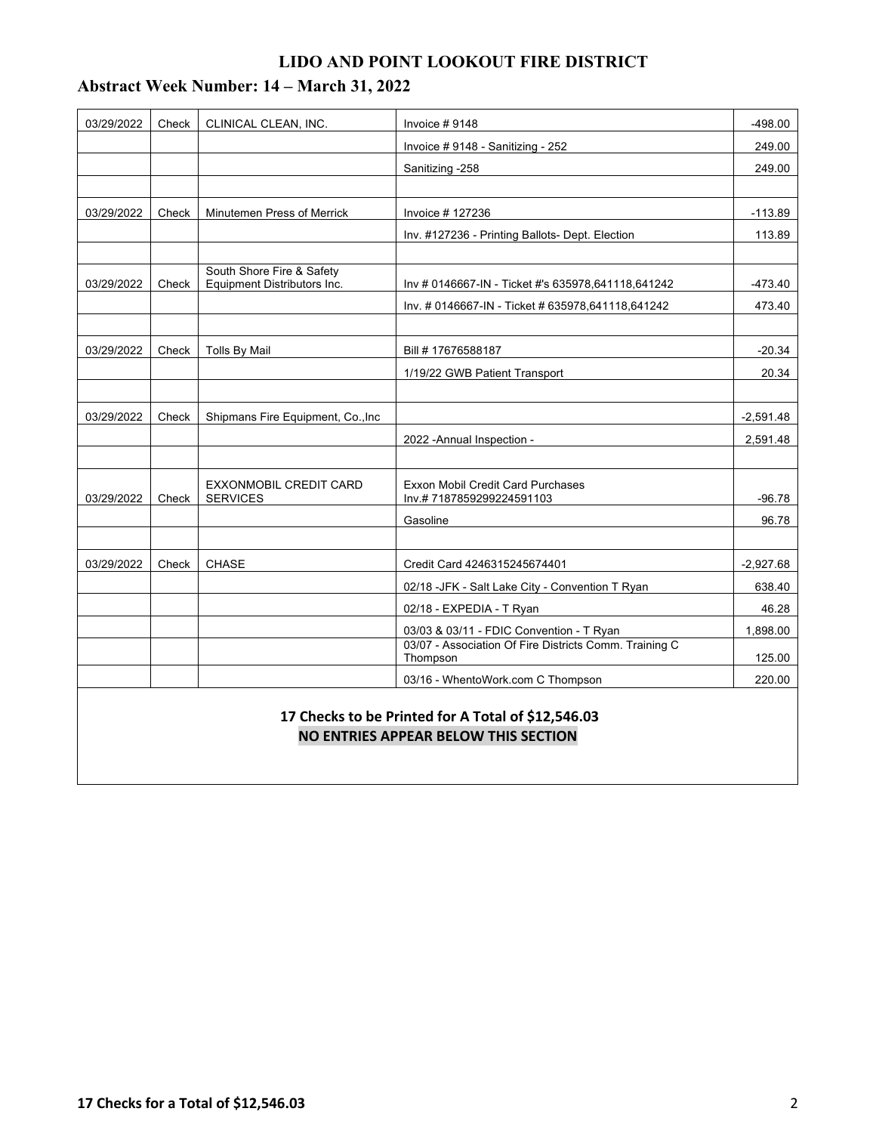# **LIDO AND POINT LOOKOUT FIRE DISTRICT**

| 03/29/2022 | Check | CLINICAL CLEAN, INC.                                     | Invoice $# 9148$                                                                                   | $-498.00$   |
|------------|-------|----------------------------------------------------------|----------------------------------------------------------------------------------------------------|-------------|
|            |       |                                                          | Invoice #9148 - Sanitizing - 252                                                                   | 249.00      |
|            |       |                                                          | Sanitizing -258                                                                                    | 249.00      |
|            |       |                                                          |                                                                                                    |             |
| 03/29/2022 | Check | Minutemen Press of Merrick                               | Invoice #127236                                                                                    | $-113.89$   |
|            |       |                                                          | Inv. #127236 - Printing Ballots- Dept. Election                                                    | 113.89      |
|            |       |                                                          |                                                                                                    |             |
| 03/29/2022 | Check | South Shore Fire & Safety<br>Equipment Distributors Inc. | Inv # 0146667-IN - Ticket #'s 635978,641118,641242                                                 | $-473.40$   |
|            |       |                                                          | Inv. # 0146667-IN - Ticket # 635978,641118,641242                                                  | 473.40      |
|            |       |                                                          |                                                                                                    |             |
| 03/29/2022 | Check | <b>Tolls By Mail</b>                                     | Bill #17676588187                                                                                  | $-20.34$    |
|            |       |                                                          | 1/19/22 GWB Patient Transport                                                                      | 20.34       |
|            |       |                                                          |                                                                                                    |             |
| 03/29/2022 | Check | Shipmans Fire Equipment, Co., Inc.                       |                                                                                                    | $-2,591.48$ |
|            |       |                                                          | 2022 - Annual Inspection -                                                                         | 2,591.48    |
|            |       |                                                          |                                                                                                    |             |
|            |       | <b>EXXONMOBIL CREDIT CARD</b>                            | <b>Exxon Mobil Credit Card Purchases</b>                                                           |             |
| 03/29/2022 | Check | <b>SERVICES</b>                                          | Inv.#7187859299224591103                                                                           | $-96.78$    |
|            |       |                                                          | Gasoline                                                                                           | 96.78       |
|            |       |                                                          |                                                                                                    |             |
| 03/29/2022 | Check | <b>CHASE</b>                                             | Credit Card 4246315245674401                                                                       | $-2,927.68$ |
|            |       |                                                          | 02/18 - JFK - Salt Lake City - Convention T Ryan                                                   | 638.40      |
|            |       |                                                          | 02/18 - EXPEDIA - T Ryan                                                                           | 46.28       |
|            |       |                                                          | 03/03 & 03/11 - FDIC Convention - T Ryan<br>03/07 - Association Of Fire Districts Comm. Training C | 1,898.00    |
|            |       |                                                          | Thompson                                                                                           | 125.00      |
|            |       |                                                          | 03/16 - WhentoWork.com C Thompson                                                                  | 220.00      |
|            |       |                                                          |                                                                                                    |             |
|            |       |                                                          | 17 Checks to be Printed for A Total of \$12,546.03<br>NO ENTRIES APPEAR BELOW THIS SECTION         |             |
|            |       |                                                          |                                                                                                    |             |

## **Abstract Week Number: 14 – March 31, 2022**